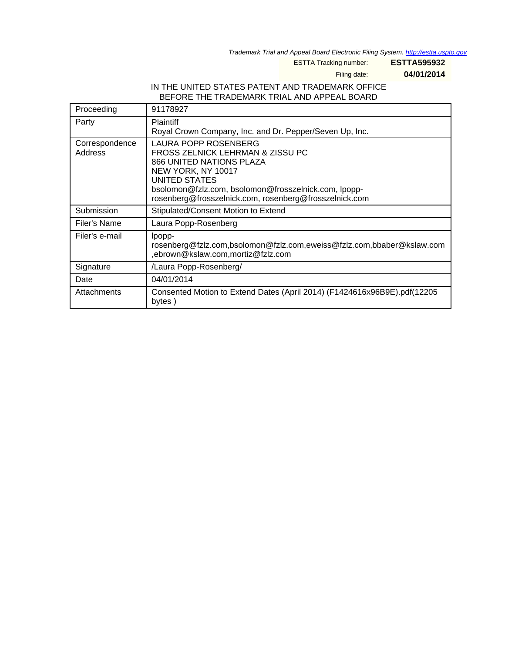Trademark Trial and Appeal Board Electronic Filing System. <http://estta.uspto.gov>

ESTTA Tracking number: **ESTTA595932**

Filing date: **04/01/2014**

### IN THE UNITED STATES PATENT AND TRADEMARK OFFICE BEFORE THE TRADEMARK TRIAL AND APPEAL BOARD

| Proceeding                | 91178927                                                                                                                                                                                                                                                    |
|---------------------------|-------------------------------------------------------------------------------------------------------------------------------------------------------------------------------------------------------------------------------------------------------------|
| Party                     | <b>Plaintiff</b><br>Royal Crown Company, Inc. and Dr. Pepper/Seven Up, Inc.                                                                                                                                                                                 |
| Correspondence<br>Address | LAURA POPP ROSENBERG<br>FROSS ZELNICK LEHRMAN & ZISSU PC<br><b>866 UNITED NATIONS PLAZA</b><br>NEW YORK, NY 10017<br><b>UNITED STATES</b><br>bsolomon@fzlz.com, bsolomon@frosszelnick.com, lpopp-<br>rosenberg@frosszelnick.com, rosenberg@frosszelnick.com |
| Submission                | Stipulated/Consent Motion to Extend                                                                                                                                                                                                                         |
| Filer's Name              | Laura Popp-Rosenberg                                                                                                                                                                                                                                        |
| Filer's e-mail            | lpopp-<br>rosenberg@fzlz.com,bsolomon@fzlz.com,eweiss@fzlz.com,bbaber@kslaw.com<br>,ebrown@kslaw.com,mortiz@fzlz.com                                                                                                                                        |
| Signature                 | /Laura Popp-Rosenberg/                                                                                                                                                                                                                                      |
| Date                      | 04/01/2014                                                                                                                                                                                                                                                  |
| Attachments               | Consented Motion to Extend Dates (April 2014) (F1424616x96B9E).pdf (12205<br>bytes)                                                                                                                                                                         |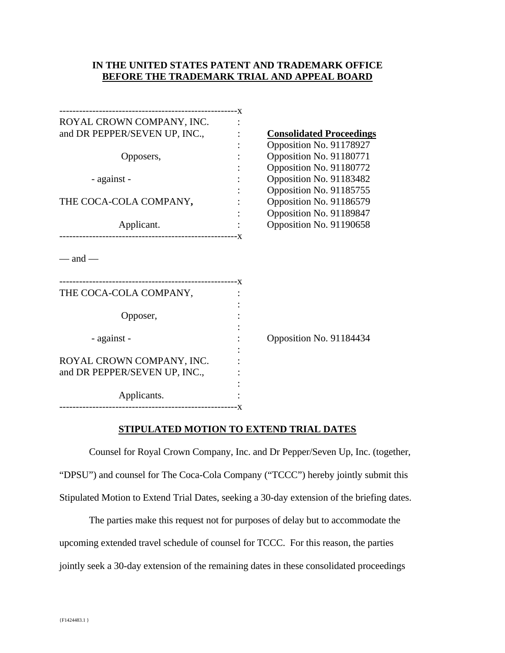### **IN THE UNITED STATES PATENT AND TRADEMARK OFFICE BEFORE THE TRADEMARK TRIAL AND APPEAL BOARD**

| ROYAL CROWN COMPANY, INC.     |                                 |
|-------------------------------|---------------------------------|
| and DR PEPPER/SEVEN UP, INC., | <b>Consolidated Proceedings</b> |
|                               | Opposition No. 91178927         |
| Opposers,                     | Opposition No. 91180771         |
|                               | Opposition No. 91180772         |
| - against -                   | Opposition No. 91183482         |
|                               | Opposition No. 91185755         |
| THE COCA-COLA COMPANY,        | Opposition No. 91186579         |
|                               | Opposition No. 91189847         |
| Applicant.                    | Opposition No. 91190658         |
|                               |                                 |
| $-$ and $-$                   |                                 |
| THE COCA-COLA COMPANY,        |                                 |
|                               |                                 |
| Opposer,                      |                                 |
|                               |                                 |
| - against -                   | Opposition No. 91184434         |
|                               |                                 |
| ROYAL CROWN COMPANY, INC.     |                                 |
| and DR PEPPER/SEVEN UP, INC., |                                 |
|                               |                                 |
| Applicants.                   |                                 |
|                               |                                 |

#### **STIPULATED MOTION TO EXTEND TRIAL DATES**

Counsel for Royal Crown Company, Inc. and Dr Pepper/Seven Up, Inc. (together, "DPSU") and counsel for The Coca-Cola Company ("TCCC") hereby jointly submit this Stipulated Motion to Extend Trial Dates, seeking a 30-day extension of the briefing dates.

The parties make this request not for purposes of delay but to accommodate the upcoming extended travel schedule of counsel for TCCC. For this reason, the parties jointly seek a 30-day extension of the remaining dates in these consolidated proceedings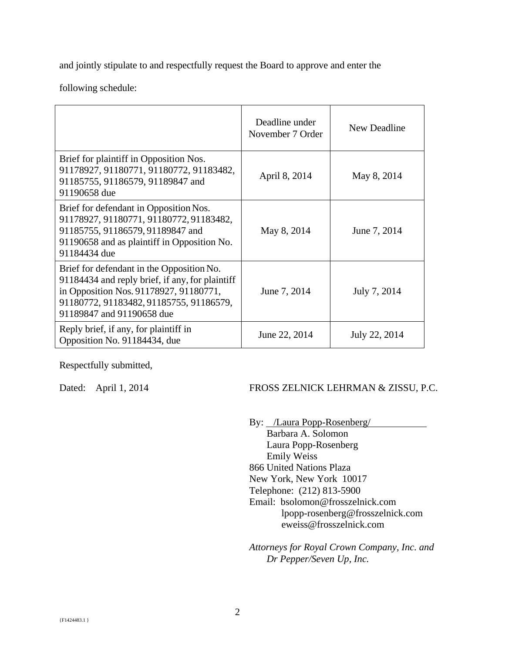and jointly stipulate to and respectfully request the Board to approve and enter the

following schedule:

|                                                                                                                                                                                                                | Deadline under<br>November 7 Order | New Deadline  |
|----------------------------------------------------------------------------------------------------------------------------------------------------------------------------------------------------------------|------------------------------------|---------------|
| Brief for plaintiff in Opposition Nos.<br>91178927, 91180771, 91180772, 91183482,<br>91185755, 91186579, 91189847 and<br>91190658 due                                                                          | April 8, 2014                      | May 8, 2014   |
| Brief for defendant in Opposition Nos.<br>91178927, 91180771, 91180772, 91183482,<br>91185755, 91186579, 91189847 and<br>91190658 and as plaintiff in Opposition No.<br>91184434 due                           | May 8, 2014                        | June 7, 2014  |
| Brief for defendant in the Opposition No.<br>91184434 and reply brief, if any, for plaintiff<br>in Opposition Nos. 91178927, 91180771,<br>91180772, 91183482, 91185755, 91186579,<br>91189847 and 91190658 due | June 7, 2014                       | July 7, 2014  |
| Reply brief, if any, for plaintiff in<br>Opposition No. 91184434, due                                                                                                                                          | June 22, 2014                      | July 22, 2014 |

Respectfully submitted,

# Dated: April 1, 2014 FROSS ZELNICK LEHRMAN & ZISSU, P.C.

By: /Laura Popp-Rosenberg/ Barbara A. Solomon Laura Popp-Rosenberg Emily Weiss 866 United Nations Plaza New York, New York 10017 Telephone: (212) 813-5900 Email: bsolomon@frosszelnick.com lpopp-rosenberg@frosszelnick.com eweiss@frosszelnick.com

*Attorneys for Royal Crown Company, Inc. and Dr Pepper/Seven Up, Inc.*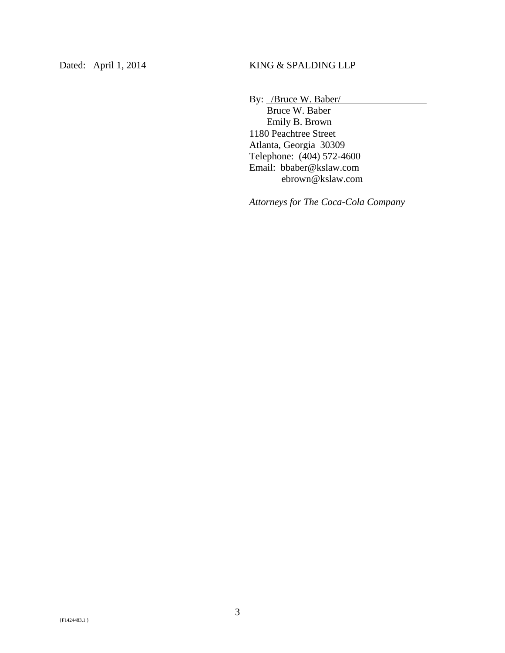By: /Bruce W. Baber/

 Bruce W. Baber Emily B. Brown 1180 Peachtree Street Atlanta, Georgia 30309 Telephone: (404) 572-4600 Email: bbaber@kslaw.com ebrown@kslaw.com

*Attorneys for The Coca-Cola Company*